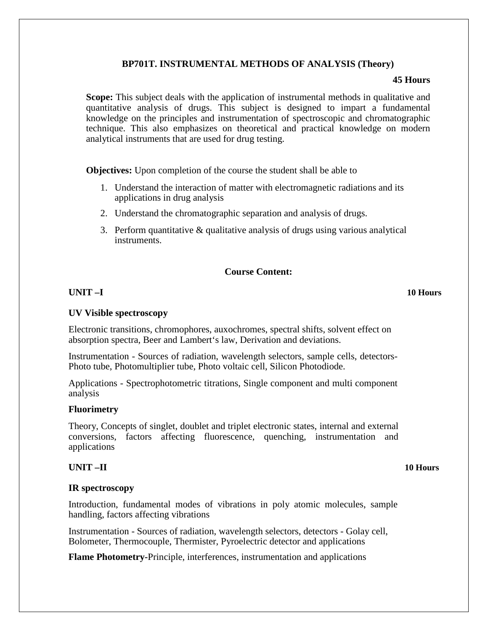## **BP701T. INSTRUMENTAL METHODS OF ANALYSIS (Theory)**

### **45 Hours**

**Scope:** This subject deals with the application of instrumental methods in qualitative and quantitative analysis of drugs. This subject is designed to impart a fundamental knowledge on the principles and instrumentation of spectroscopic and chromatographic technique. This also emphasizes on theoretical and practical knowledge on modern analytical instruments that are used for drug testing.

**Objectives:** Upon completion of the course the student shall be able to

- 1. Understand the interaction of matter with electromagnetic radiations and its applications in drug analysis
- 2. Understand the chromatographic separation and analysis of drugs.
- 3. Perform quantitative & qualitative analysis of drugs using various analytical instruments.

# **Course Content:**

# **UNIT –I 10 Hours**

## **UV Visible spectroscopy**

Electronic transitions, chromophores, auxochromes, spectral shifts, solvent effect on absorption spectra, Beer and Lambert's law, Derivation and deviations.

Instrumentation - Sources of radiation, wavelength selectors, sample cells, detectors-Photo tube, Photomultiplier tube, Photo voltaic cell, Silicon Photodiode.

Applications - Spectrophotometric titrations, Single component and multi component analysis

### **Fluorimetry**

Theory, Concepts of singlet, doublet and triplet electronic states, internal and external conversions, factors affecting fluorescence, quenching, instrumentation and applications

## **UNIT –II 10 Hours**

### **IR spectroscopy**

Introduction, fundamental modes of vibrations in poly atomic molecules, sample handling, factors affecting vibrations

Instrumentation - Sources of radiation, wavelength selectors, detectors - Golay cell, Bolometer, Thermocouple, Thermister, Pyroelectric detector and applications

**Flame Photometry-**Principle, interferences, instrumentation and applications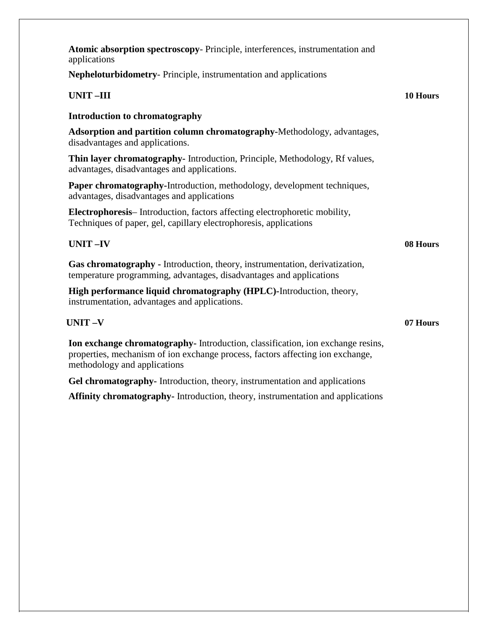| <b>Atomic absorption spectroscopy</b> - Principle, interferences, instrumentation and<br>applications                                                                                            |          |
|--------------------------------------------------------------------------------------------------------------------------------------------------------------------------------------------------|----------|
| <b>Nepheloturbidometry-</b> Principle, instrumentation and applications                                                                                                                          |          |
| <b>UNIT-III</b>                                                                                                                                                                                  | 10 Hours |
| <b>Introduction to chromatography</b>                                                                                                                                                            |          |
| <b>Adsorption and partition column chromatography-Methodology, advantages,</b><br>disadvantages and applications.                                                                                |          |
| <b>Thin layer chromatography-</b> Introduction, Principle, Methodology, Rf values,<br>advantages, disadvantages and applications.                                                                |          |
| Paper chromatography-Introduction, methodology, development techniques,<br>advantages, disadvantages and applications                                                                            |          |
| Electrophoresis-Introduction, factors affecting electrophoretic mobility,<br>Techniques of paper, gel, capillary electrophoresis, applications                                                   |          |
| <b>UNIT-IV</b>                                                                                                                                                                                   | 08 Hours |
| Gas chromatography - Introduction, theory, instrumentation, derivatization,<br>temperature programming, advantages, disadvantages and applications                                               |          |
| High performance liquid chromatography (HPLC)-Introduction, theory,<br>instrumentation, advantages and applications.                                                                             |          |
| <b>UNIT-V</b>                                                                                                                                                                                    | 07 Hours |
| Ion exchange chromatography-Introduction, classification, ion exchange resins,<br>properties, mechanism of ion exchange process, factors affecting ion exchange,<br>methodology and applications |          |
| Gel chromatography- Introduction, theory, instrumentation and applications                                                                                                                       |          |

**Affinity chromatography-** Introduction, theory, instrumentation and applications